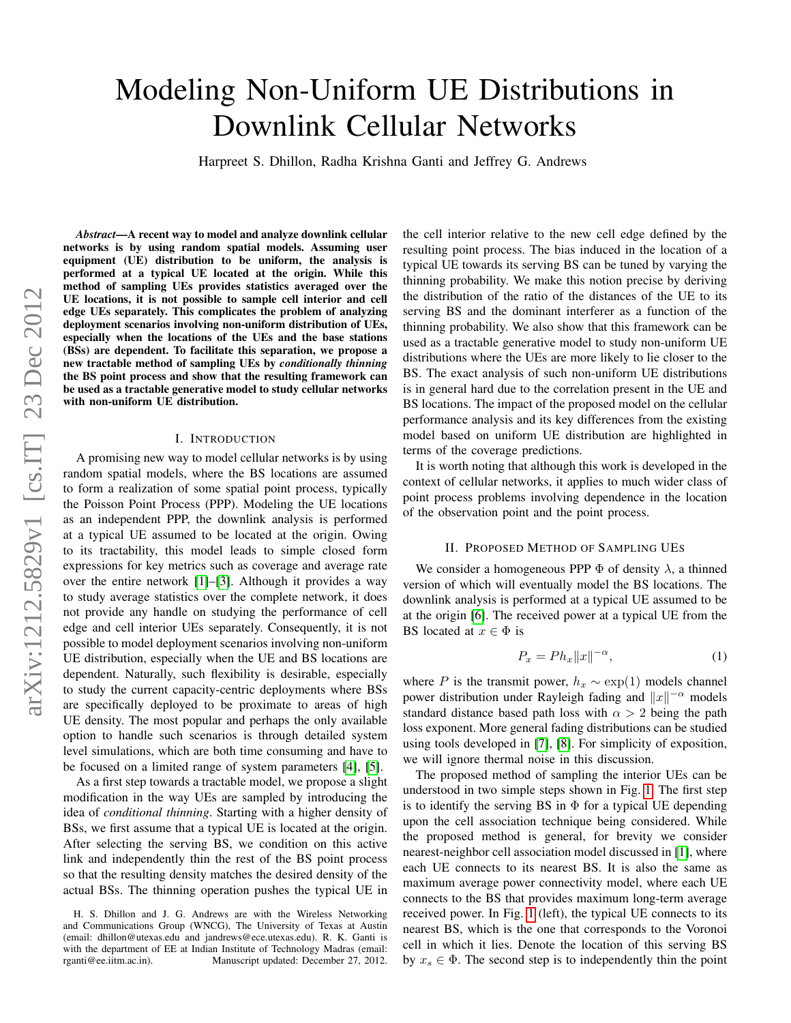# Modeling Non-Uniform UE Distributions in Downlink Cellular Networks

Harpreet S. Dhillon, Radha Krishna Ganti and Jeffrey G. Andrews

*Abstract*—A recent way to model and analyze downlink cellular networks is by using random spatial models. Assuming user equipment (UE) distribution to be uniform, the analysis is performed at a typical UE located at the origin. While this method of sampling UEs provides statistics averaged over the UE locations, it is not possible to sample cell interior and cell edge UEs separately. This complicates the problem of analyzing deployment scenarios involving non-uniform distribution of UEs, especially when the locations of the UEs and the base stations (BSs) are dependent. To facilitate this separation, we propose a new tractable method of sampling UEs by *conditionally thinning* the BS point process and show that the resulting framework can be used as a tractable generative model to study cellular networks with non-uniform UE distribution.

# I. INTRODUCTION

A promising new way to model cellular networks is by using random spatial models, where the BS locations are assumed to form a realization of some spatial point process, typically the Poisson Point Process (PPP). Modeling the UE locations as an independent PPP, the downlink analysis is performed at a typical UE assumed to be located at the origin. Owing to its tractability, this model leads to simple closed form expressions for key metrics such as coverage and average rate over the entire network [\[1\]](#page-3-0)–[\[3\]](#page-3-1). Although it provides a way to study average statistics over the complete network, it does not provide any handle on studying the performance of cell edge and cell interior UEs separately. Consequently, it is not possible to model deployment scenarios involving non-uniform UE distribution, especially when the UE and BS locations are dependent. Naturally, such flexibility is desirable, especially to study the current capacity-centric deployments where BSs are specifically deployed to be proximate to areas of high UE density. The most popular and perhaps the only available option to handle such scenarios is through detailed system level simulations, which are both time consuming and have to be focused on a limited range of system parameters [\[4\]](#page-3-2), [\[5\]](#page-3-3).

As a first step towards a tractable model, we propose a slight modification in the way UEs are sampled by introducing the idea of *conditional thinning*. Starting with a higher density of BSs, we first assume that a typical UE is located at the origin. After selecting the serving BS, we condition on this active link and independently thin the rest of the BS point process so that the resulting density matches the desired density of the actual BSs. The thinning operation pushes the typical UE in the cell interior relative to the new cell edge defined by the resulting point process. The bias induced in the location of a typical UE towards its serving BS can be tuned by varying the thinning probability. We make this notion precise by deriving the distribution of the ratio of the distances of the UE to its serving BS and the dominant interferer as a function of the thinning probability. We also show that this framework can be used as a tractable generative model to study non-uniform UE distributions where the UEs are more likely to lie closer to the BS. The exact analysis of such non-uniform UE distributions is in general hard due to the correlation present in the UE and BS locations. The impact of the proposed model on the cellular performance analysis and its key differences from the existing model based on uniform UE distribution are highlighted in terms of the coverage predictions.

It is worth noting that although this work is developed in the context of cellular networks, it applies to much wider class of point process problems involving dependence in the location of the observation point and the point process.

### II. PROPOSED METHOD OF SAMPLING UES

We consider a homogeneous PPP  $\Phi$  of density  $\lambda$ , a thinned version of which will eventually model the BS locations. The downlink analysis is performed at a typical UE assumed to be at the origin [\[6\]](#page-3-4). The received power at a typical UE from the BS located at  $x \in \Phi$  is

$$
P_x = Ph_x ||x||^{-\alpha},\tag{1}
$$

where P is the transmit power,  $h_x \sim \exp(1)$  models channel power distribution under Rayleigh fading and  $||x||^{-\alpha}$  models standard distance based path loss with  $\alpha > 2$  being the path loss exponent. More general fading distributions can be studied using tools developed in [\[7\]](#page-3-5), [\[8\]](#page-3-6). For simplicity of exposition, we will ignore thermal noise in this discussion.

The proposed method of sampling the interior UEs can be understood in two simple steps shown in Fig. [1.](#page-1-0) The first step is to identify the serving BS in  $\Phi$  for a typical UE depending upon the cell association technique being considered. While the proposed method is general, for brevity we consider nearest-neighbor cell association model discussed in [\[1\]](#page-3-0), where each UE connects to its nearest BS. It is also the same as maximum average power connectivity model, where each UE connects to the BS that provides maximum long-term average received power. In Fig. [1](#page-1-0) (left), the typical UE connects to its nearest BS, which is the one that corresponds to the Voronoi cell in which it lies. Denote the location of this serving BS by  $x_s \in \Phi$ . The second step is to independently thin the point

H. S. Dhillon and J. G. Andrews are with the Wireless Networking and Communications Group (WNCG), The University of Texas at Austin (email: dhillon@utexas.edu and jandrews@ece.utexas.edu). R. K. Ganti is with the department of EE at Indian Institute of Technology Madras (email: rganti@ee.iitm.ac.in). Manuscript updated: December 27, 2012.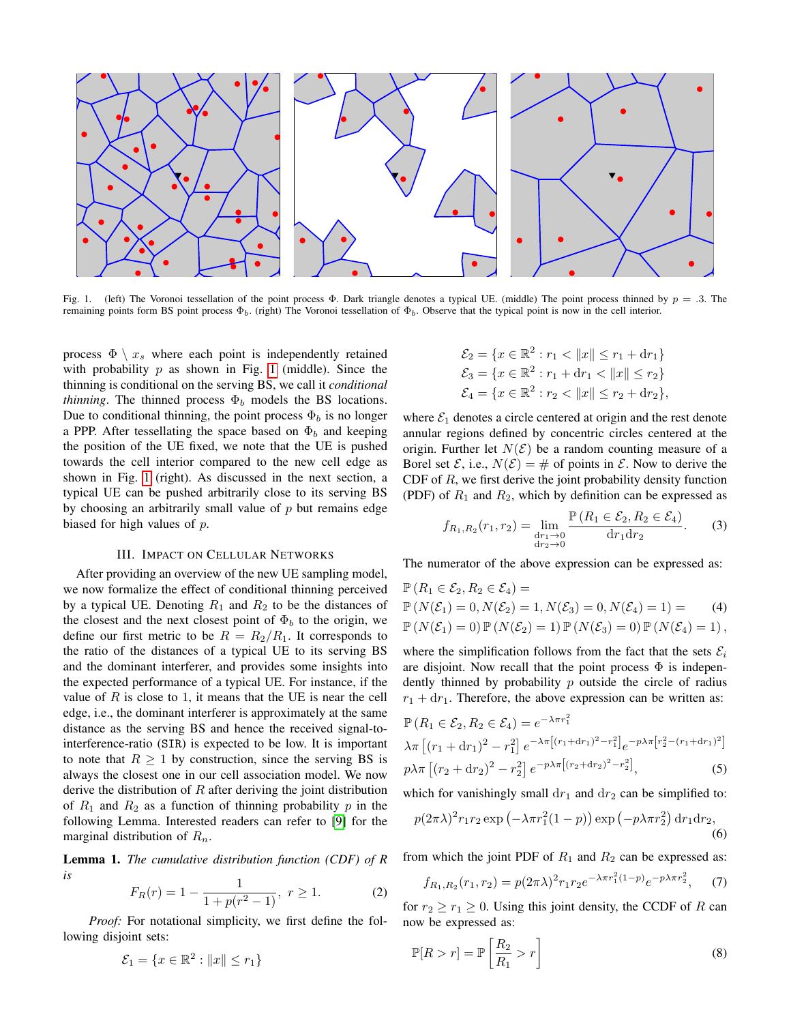

<span id="page-1-0"></span>Fig. 1. (left) The Voronoi tessellation of the point process Φ. Dark triangle denotes a typical UE. (middle) The point process thinned by  $p = .3$ . The remaining points form BS point process  $\Phi_b$ . (right) The Voronoi tessellation of  $\Phi_b$ . Observe that the typical point is now in the cell interior.

process  $\Phi \setminus x_s$  where each point is independently retained with probability  $p$  as shown in Fig. [1](#page-1-0) (middle). Since the thinning is conditional on the serving BS, we call it *conditional thinning*. The thinned process  $\Phi_b$  models the BS locations. Due to conditional thinning, the point process  $\Phi_b$  is no longer a PPP. After tessellating the space based on  $\Phi_b$  and keeping the position of the UE fixed, we note that the UE is pushed towards the cell interior compared to the new cell edge as shown in Fig. [1](#page-1-0) (right). As discussed in the next section, a typical UE can be pushed arbitrarily close to its serving BS by choosing an arbitrarily small value of  $p$  but remains edge biased for high values of  $p$ .

## III. IMPACT ON CELLULAR NETWORKS

After providing an overview of the new UE sampling model, we now formalize the effect of conditional thinning perceived by a typical UE. Denoting  $R_1$  and  $R_2$  to be the distances of the closest and the next closest point of  $\Phi_b$  to the origin, we define our first metric to be  $R = R_2/R_1$ . It corresponds to the ratio of the distances of a typical UE to its serving BS and the dominant interferer, and provides some insights into the expected performance of a typical UE. For instance, if the value of  $R$  is close to 1, it means that the UE is near the cell edge, i.e., the dominant interferer is approximately at the same distance as the serving BS and hence the received signal-tointerference-ratio (SIR) is expected to be low. It is important to note that  $R \geq 1$  by construction, since the serving BS is always the closest one in our cell association model. We now derive the distribution of  $R$  after deriving the joint distribution of  $R_1$  and  $R_2$  as a function of thinning probability p in the following Lemma. Interested readers can refer to [\[9\]](#page-3-7) for the marginal distribution of  $R_n$ .

Lemma 1. *The cumulative distribution function (CDF) of R is*

$$
F_R(r) = 1 - \frac{1}{1 + p(r^2 - 1)}, \ r \ge 1.
$$
 (2)

*Proof:* For notational simplicity, we first define the following disjoint sets:

$$
\mathcal{E}_1 = \{x \in \mathbb{R}^2 : ||x|| \le r_1\}
$$

$$
\mathcal{E}_2 = \{x \in \mathbb{R}^2 : r_1 < \|x\| \le r_1 + \mathrm{d}r_1\}
$$
\n
$$
\mathcal{E}_3 = \{x \in \mathbb{R}^2 : r_1 + \mathrm{d}r_1 < \|x\| \le r_2\}
$$
\n
$$
\mathcal{E}_4 = \{x \in \mathbb{R}^2 : r_2 < \|x\| \le r_2 + \mathrm{d}r_2\},
$$

where  $\mathcal{E}_1$  denotes a circle centered at origin and the rest denote annular regions defined by concentric circles centered at the origin. Further let  $N(\mathcal{E})$  be a random counting measure of a Borel set  $\mathcal{E}$ , i.e.,  $N(\mathcal{E}) = \#$  of points in  $\mathcal{E}$ . Now to derive the CDF of  $R$ , we first derive the joint probability density function (PDF) of  $R_1$  and  $R_2$ , which by definition can be expressed as

$$
f_{R_1,R_2}(r_1,r_2) = \lim_{\substack{dr_1 \to 0 \\ dr_2 \to 0}} \frac{\mathbb{P}\left(R_1 \in \mathcal{E}_2, R_2 \in \mathcal{E}_4\right)}{dr_1 dr_2}.
$$
 (3)

The numerator of the above expression can be expressed as:

$$
\mathbb{P}(R_1 \in \mathcal{E}_2, R_2 \in \mathcal{E}_4) = \n\mathbb{P}(N(\mathcal{E}_1) = 0, N(\mathcal{E}_2) = 1, N(\mathcal{E}_3) = 0, N(\mathcal{E}_4) = 1) = \n\mathbb{P}(N(\mathcal{E}_1) = 0) \mathbb{P}(N(\mathcal{E}_2) = 1) \mathbb{P}(N(\mathcal{E}_3) = 0) \mathbb{P}(N(\mathcal{E}_4) = 1),
$$
\n(4)

where the simplification follows from the fact that the sets  $\mathcal{E}_i$ are disjoint. Now recall that the point process  $\Phi$  is independently thinned by probability  $p$  outside the circle of radius  $r_1 + dr_1$ . Therefore, the above expression can be written as:

$$
\mathbb{P}\left(R_1 \in \mathcal{E}_2, R_2 \in \mathcal{E}_4\right) = e^{-\lambda \pi r_1^2} \lambda \pi \left[ (r_1 + \mathrm{d}r_1)^2 - r_1^2 \right] e^{-\lambda \pi \left[ (r_1 + \mathrm{d}r_1)^2 - r_1^2 \right]} e^{-p\lambda \pi \left[ r_2^2 - (r_1 + \mathrm{d}r_1)^2 \right]} \n p\lambda \pi \left[ (r_2 + \mathrm{d}r_2)^2 - r_2^2 \right] e^{-p\lambda \pi \left[ (r_2 + \mathrm{d}r_2)^2 - r_2^2 \right]},
$$
\n(5)

which for vanishingly small  $dr_1$  and  $dr_2$  can be simplified to:

$$
p(2\pi\lambda)^2 r_1 r_2 \exp\left(-\lambda \pi r_1^2 (1-p)\right) \exp\left(-p\lambda \pi r_2^2\right) \mathrm{d}r_1 \mathrm{d}r_2,\tag{6}
$$

from which the joint PDF of  $R_1$  and  $R_2$  can be expressed as:

$$
f_{R_1,R_2}(r_1,r_2) = p(2\pi\lambda)^2 r_1 r_2 e^{-\lambda \pi r_1^2 (1-p)} e^{-p\lambda \pi r_2^2}, \quad (7)
$$

for  $r_2 \ge r_1 \ge 0$ . Using this joint density, the CCDF of R can now be expressed as:

$$
\mathbb{P}[R > r] = \mathbb{P}\left[\frac{R_2}{R_1} > r\right] \tag{8}
$$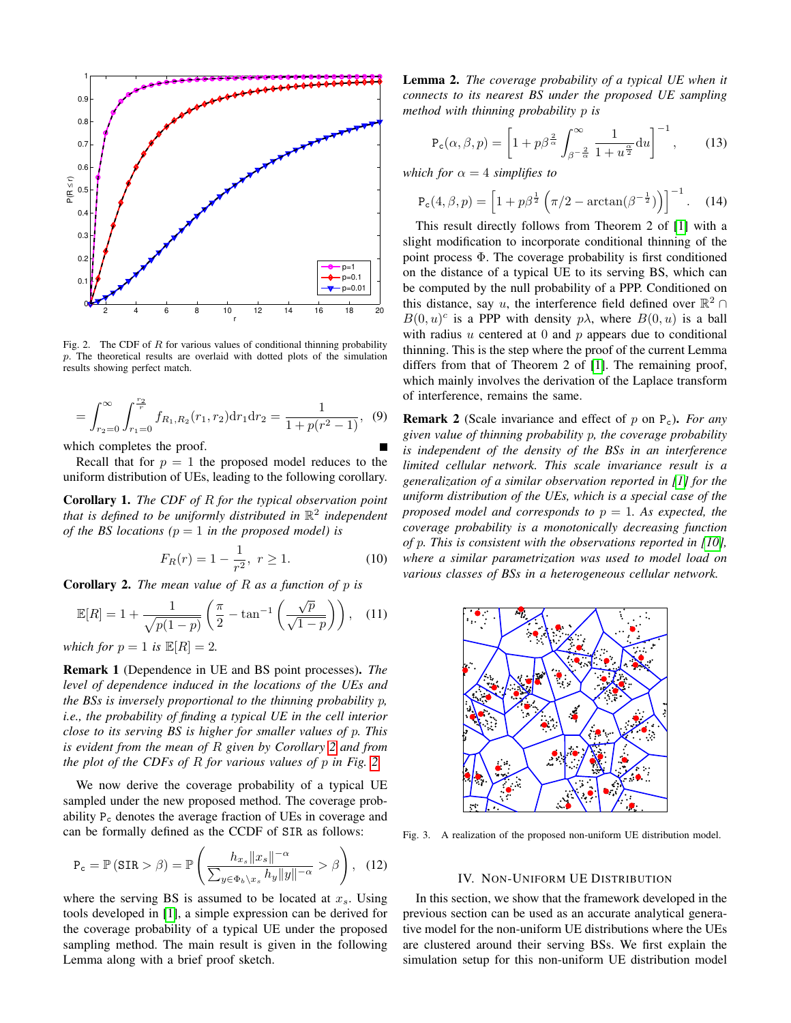

<span id="page-2-1"></span>Fig. 2. The CDF of  $R$  for various values of conditional thinning probability p. The theoretical results are overlaid with dotted plots of the simulation results showing perfect match.

$$
= \int_{r_2=0}^{\infty} \int_{r_1=0}^{\frac{r_2}{r}} f_{R_1,R_2}(r_1,r_2) dr_1 dr_2 = \frac{1}{1 + p(r^2 - 1)}, \tag{9}
$$

which completes the proof.

Recall that for  $p = 1$  the proposed model reduces to the uniform distribution of UEs, leading to the following corollary.

Corollary 1. *The CDF of* R *for the typical observation point that is defined to be uniformly distributed in* R 2 *independent of the BS locations (* $p = 1$  *in the proposed model) is* 

$$
F_R(r) = 1 - \frac{1}{r^2}, \ r \ge 1.
$$
 (10)

<span id="page-2-0"></span>Corollary 2. *The mean value of* R *as a function of* p *is*

$$
\mathbb{E}[R] = 1 + \frac{1}{\sqrt{p(1-p)}} \left( \frac{\pi}{2} - \tan^{-1} \left( \frac{\sqrt{p}}{\sqrt{1-p}} \right) \right), \quad (11)
$$

*which for*  $p = 1$  *is*  $\mathbb{E}[R] = 2$ *.* 

Remark 1 (Dependence in UE and BS point processes). *The level of dependence induced in the locations of the UEs and the BSs is inversely proportional to the thinning probability* p*, i.e., the probability of finding a typical UE in the cell interior close to its serving BS is higher for smaller values of* p*. This is evident from the mean of* R *given by Corollary [2](#page-2-0) and from the plot of the CDFs of* R *for various values of* p *in Fig. [2.](#page-2-1)*

We now derive the coverage probability of a typical UE sampled under the new proposed method. The coverage probability P<sup>c</sup> denotes the average fraction of UEs in coverage and can be formally defined as the CCDF of SIR as follows:

$$
P_c = \mathbb{P} \left( SIR > \beta \right) = \mathbb{P} \left( \frac{h_{x_s} ||x_s||^{-\alpha}}{\sum_{y \in \Phi_b \setminus x_s} h_y ||y||^{-\alpha}} > \beta \right), \quad (12)
$$

where the serving BS is assumed to be located at  $x_s$ . Using tools developed in [\[1\]](#page-3-0), a simple expression can be derived for the coverage probability of a typical UE under the proposed sampling method. The main result is given in the following Lemma along with a brief proof sketch.

<span id="page-2-3"></span>Lemma 2. *The coverage probability of a typical UE when it connects to its nearest BS under the proposed UE sampling method with thinning probability* p *is*

$$
P_c(\alpha, \beta, p) = \left[1 + p\beta^{\frac{2}{\alpha}} \int_{\beta^{-\frac{2}{\alpha}}}^{\infty} \frac{1}{1 + u^{\frac{\alpha}{2}}} du\right]^{-1},
$$
 (13)

*which for*  $\alpha = 4$  *simplifies to* 

$$
P_c(4,\beta,p) = \left[1 + p\beta^{\frac{1}{2}}\left(\pi/2 - \arctan(\beta^{-\frac{1}{2}})\right)\right]^{-1}.
$$
 (14)

This result directly follows from Theorem 2 of [\[1\]](#page-3-0) with a slight modification to incorporate conditional thinning of the point process  $\Phi$ . The coverage probability is first conditioned on the distance of a typical UE to its serving BS, which can be computed by the null probability of a PPP. Conditioned on this distance, say u, the interference field defined over  $\mathbb{R}^2 \cap$  $B(0, u)^c$  is a PPP with density  $p\lambda$ , where  $B(0, u)$  is a ball with radius  $u$  centered at  $0$  and  $p$  appears due to conditional thinning. This is the step where the proof of the current Lemma differs from that of Theorem 2 of [\[1\]](#page-3-0). The remaining proof, which mainly involves the derivation of the Laplace transform of interference, remains the same.

Remark 2 (Scale invariance and effect of p on Pc). *For any given value of thinning probability* p*, the coverage probability is independent of the density of the BSs in an interference limited cellular network. This scale invariance result is a generalization of a similar observation reported in [\[1\]](#page-3-0) for the uniform distribution of the UEs, which is a special case of the proposed model and corresponds to*  $p = 1$ *. As expected, the coverage probability is a monotonically decreasing function of* p*. This is consistent with the observations reported in [\[10\]](#page-3-8), where a similar parametrization was used to model load on various classes of BSs in a heterogeneous cellular network.*



<span id="page-2-2"></span>Fig. 3. A realization of the proposed non-uniform UE distribution model.

#### IV. NON-UNIFORM UE DISTRIBUTION

In this section, we show that the framework developed in the previous section can be used as an accurate analytical generative model for the non-uniform UE distributions where the UEs are clustered around their serving BSs. We first explain the simulation setup for this non-uniform UE distribution model